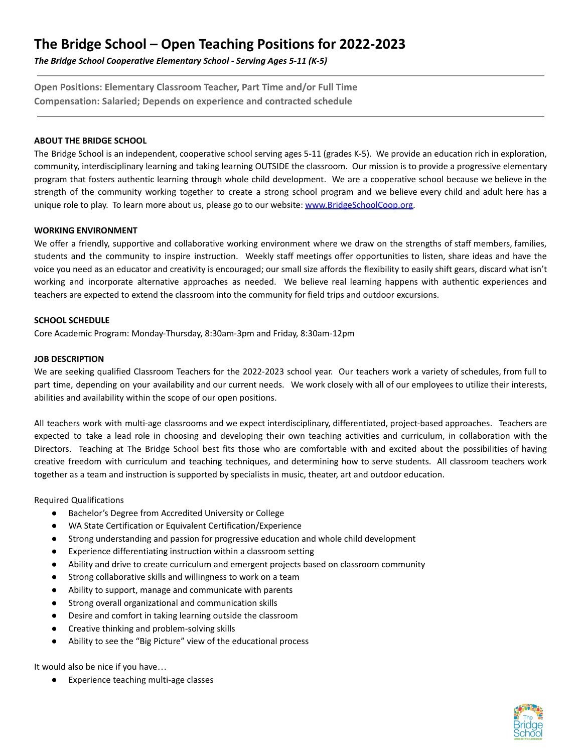# **The Bridge School – Open Teaching Positions for 2022-2023**

*The Bridge School Cooperative Elementary School - Serving Ages 5-11 (K-5)*

**Open Positions: Elementary Classroom Teacher, Part Time and/or Full Time Compensation: Salaried; Depends on experience and contracted schedule**

## **ABOUT THE BRIDGE SCHOOL**

The Bridge School is an independent, cooperative school serving ages 5-11 (grades K-5). We provide an education rich in exploration, community, interdisciplinary learning and taking learning OUTSIDE the classroom. Our mission is to provide a progressive elementary program that fosters authentic learning through whole child development. We are a cooperative school because we believe in the strength of the community working together to create a strong school program and we believe every child and adult here has a unique role to play. To learn more about us, please go to our website: [www.BridgeSchoolCoop.org.](http://www.bridgeschoolcoop.org)

### **WORKING ENVIRONMENT**

We offer a friendly, supportive and collaborative working environment where we draw on the strengths of staff members, families, students and the community to inspire instruction. Weekly staff meetings offer opportunities to listen, share ideas and have the voice you need as an educator and creativity is encouraged; our small size affords the flexibility to easily shift gears, discard what isn't working and incorporate alternative approaches as needed. We believe real learning happens with authentic experiences and teachers are expected to extend the classroom into the community for field trips and outdoor excursions.

## **SCHOOL SCHEDULE**

Core Academic Program: Monday-Thursday, 8:30am-3pm and Friday, 8:30am-12pm

### **JOB DESCRIPTION**

We are seeking qualified Classroom Teachers for the 2022-2023 school year. Our teachers work a variety of schedules, from full to part time, depending on your availability and our current needs. We work closely with all of our employees to utilize their interests, abilities and availability within the scope of our open positions.

All teachers work with multi-age classrooms and we expect interdisciplinary, differentiated, project-based approaches. Teachers are expected to take a lead role in choosing and developing their own teaching activities and curriculum, in collaboration with the Directors. Teaching at The Bridge School best fits those who are comfortable with and excited about the possibilities of having creative freedom with curriculum and teaching techniques, and determining how to serve students. All classroom teachers work together as a team and instruction is supported by specialists in music, theater, art and outdoor education.

Required Qualifications

- Bachelor's Degree from Accredited University or College
- WA State Certification or Equivalent Certification/Experience
- Strong understanding and passion for progressive education and whole child development
- Experience differentiating instruction within a classroom setting
- Ability and drive to create curriculum and emergent projects based on classroom community
- Strong collaborative skills and willingness to work on a team
- Ability to support, manage and communicate with parents
- Strong overall organizational and communication skills
- Desire and comfort in taking learning outside the classroom
- Creative thinking and problem-solving skills
- Ability to see the "Big Picture" view of the educational process

It would also be nice if you have…

● Experience teaching multi-age classes